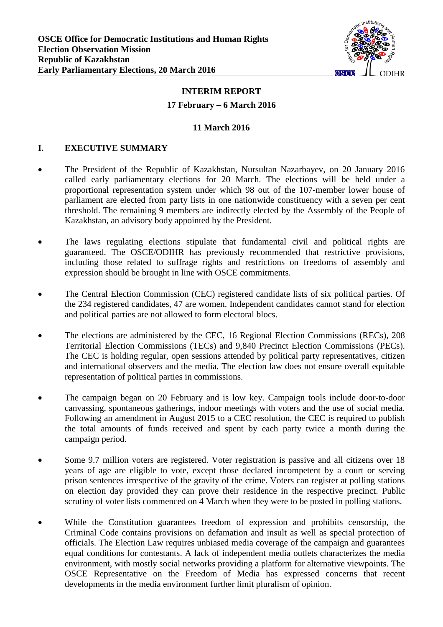

# **INTERIM REPORT**

### **17 February** – **6 March 2016**

### **11 March 2016**

### **I. EXECUTIVE SUMMARY**

- The President of the Republic of Kazakhstan, Nursultan Nazarbayev, on 20 January 2016 called early parliamentary elections for 20 March. The elections will be held under a proportional representation system under which 98 out of the 107-member lower house of parliament are elected from party lists in one nationwide constituency with a seven per cent threshold. The remaining 9 members are indirectly elected by the Assembly of the People of Kazakhstan, an advisory body appointed by the President.
- The laws regulating elections stipulate that fundamental civil and political rights are guaranteed. The OSCE/ODIHR has previously recommended that restrictive provisions, including those related to suffrage rights and restrictions on freedoms of assembly and expression should be brought in line with OSCE commitments.
- The Central Election Commission (CEC) registered candidate lists of six political parties. Of the 234 registered candidates, 47 are women. Independent candidates cannot stand for election and political parties are not allowed to form electoral blocs.
- The elections are administered by the CEC, 16 Regional Election Commissions (RECs), 208 Territorial Election Commissions (TECs) and 9,840 Precinct Election Commissions (PECs). The CEC is holding regular, open sessions attended by political party representatives, citizen and international observers and the media. The election law does not ensure overall equitable representation of political parties in commissions.
- The campaign began on 20 February and is low key. Campaign tools include door-to-door canvassing, spontaneous gatherings, indoor meetings with voters and the use of social media. Following an amendment in August 2015 to a CEC resolution, the CEC is required to publish the total amounts of funds received and spent by each party twice a month during the campaign period.
- Some 9.7 million voters are registered. Voter registration is passive and all citizens over 18 years of age are eligible to vote, except those declared incompetent by a court or serving prison sentences irrespective of the gravity of the crime. Voters can register at polling stations on election day provided they can prove their residence in the respective precinct. Public scrutiny of voter lists commenced on 4 March when they were to be posted in polling stations.
- While the Constitution guarantees freedom of expression and prohibits censorship, the Criminal Code contains provisions on defamation and insult as well as special protection of officials. The Election Law requires unbiased media coverage of the campaign and guarantees equal conditions for contestants. A lack of independent media outlets characterizes the media environment, with mostly social networks providing a platform for alternative viewpoints. The OSCE Representative on the Freedom of Media has expressed concerns that recent developments in the media environment further limit pluralism of opinion.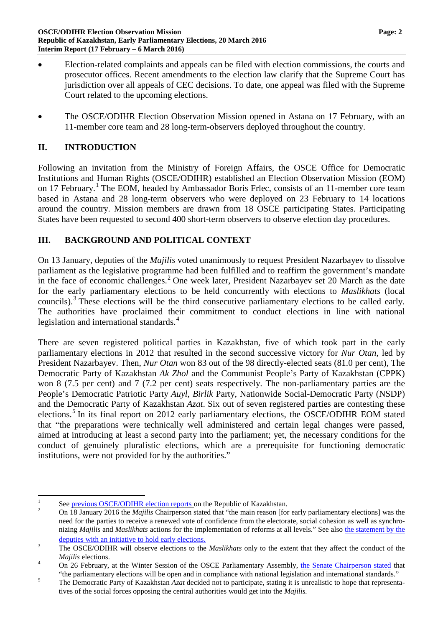- Election-related complaints and appeals can be filed with election commissions, the courts and prosecutor offices. Recent amendments to the election law clarify that the Supreme Court has jurisdiction over all appeals of CEC decisions. To date, one appeal was filed with the Supreme Court related to the upcoming elections.
- The OSCE/ODIHR Election Observation Mission opened in Astana on 17 February, with an 11-member core team and 28 long-term-observers deployed throughout the country.

## **II. INTRODUCTION**

Following an invitation from the Ministry of Foreign Affairs, the OSCE Office for Democratic Institutions and Human Rights (OSCE/ODIHR) established an Election Observation Mission (EOM) on [1](#page-1-0)7 February.<sup>1</sup> The EOM, headed by Ambassador Boris Frlec, consists of an 11-member core team based in Astana and 28 long-term observers who were deployed on 23 February to 14 locations around the country. Mission members are drawn from 18 OSCE participating States. Participating States have been requested to second 400 short-term observers to observe election day procedures.

### **III. BACKGROUND AND POLITICAL CONTEXT**

On 13 January, deputies of the *Majilis* voted unanimously to request President Nazarbayev to dissolve parliament as the legislative programme had been fulfilled and to reaffirm the government's mandate in the face of economic challenges.<sup>[2](#page-1-1)</sup> One week later, President Nazarbayev set 20 March as the date for the early parliamentary elections to be held concurrently with elections to *Maslikhats* (local councils).<sup>[3](#page-1-2)</sup> These elections will be the third consecutive parliamentary elections to be called early. The authorities have proclaimed their commitment to conduct elections in line with national legislation and international standards.<sup>[4](#page-1-3)</sup>

There are seven registered political parties in Kazakhstan, five of which took part in the early parliamentary elections in 2012 that resulted in the second successive victory for *Nur Otan*, led by President Nazarbayev. Then, *Nur Otan* won 83 out of the 98 directly-elected seats (81.0 per cent)*,* The Democratic Party of Kazakhstan *Ak Zhol* and the Communist People's Party of Kazakhstan (CPPK) won 8 (7.5 per cent) and 7 (7.2 per cent) seats respectively. The non-parliamentary parties are the People's Democratic Patriotic Party *Auyl*, *Birlik* Party, Nationwide Social-Democratic Party (NSDP) and the Democratic Party of Kazakhstan *Azat*. Six out of seven registered parties are contesting these elections.<sup>[5](#page-1-4)</sup> In its final report on 2012 early parliamentary elections, the OSCE/ODIHR EOM stated that "the preparations were technically well administered and certain legal changes were passed, aimed at introducing at least a second party into the parliament; yet, the necessary conditions for the conduct of genuinely pluralistic elections, which are a prerequisite for functioning democratic institutions, were not provided for by the authorities."

<span id="page-1-1"></span><span id="page-1-0"></span>

<sup>&</sup>lt;sup>1</sup> See [previous OSCE/ODIHR election reports](http://www.osce.org/odihr/elections/kazakhstan) on the Republic of Kazakhstan.<br><sup>2</sup> On 18 January 2016 the *Majilis* Chairperson stated that "the main reason [for early parliamentary elections] was the need for the parties to receive a renewed vote of confidence from the electorate, social cohesion as well as synchronizing *Majilis* and *Maslikhats* actions for the implementation of reforms at all levels." See also [the statement by the](https://strategy2050.kz/en/news/30435) 

<span id="page-1-2"></span>[deputies with an initiative to hold early elections.](https://strategy2050.kz/en/news/30435)<br><sup>3</sup> The OSCE/ODIHR will observe elections to the *Maslikhats* only to the extent that they affect the conduct of the

<span id="page-1-3"></span>*Majilis* elections.<br><sup>4</sup> On 26 February, at the Winter Session of the OSCE Parliamentary Assembly, [the Senate Chairperson stated](http://www.inform.kz/rus/article/2875045) that

<span id="page-1-4"></span><sup>&</sup>quot;the parliamentary elections will be open and in compliance with national legislation and international standards."<br>The Democratic Party of Kazakhstan *Azat* decided not to participate, stating it is unrealistic to hope th tives of the social forces opposing the central authorities would get into the *Majilis.*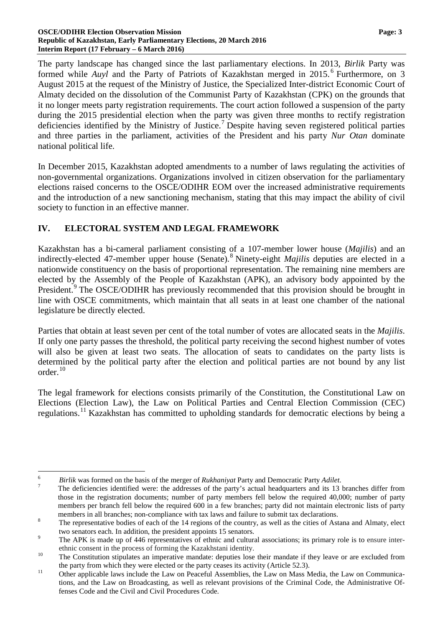#### **OSCE/ODIHR Election Observation Mission Page: 3 Republic of Kazakhstan, Early Parliamentary Elections, 20 March 2016 Interim Report (17 February – 6 March 2016)**

The party landscape has changed since the last parliamentary elections. In 2013, *Birlik* Party was formed while *Auyl* and the Party of Patriots of Kazakhstan merged in 2015. [6](#page-2-0) Furthermore, on 3 August 2015 at the request of the Ministry of Justice, the Specialized Inter-district Economic Court of Almaty decided on the dissolution of the Communist Party of Kazakhstan (CPK) on the grounds that it no longer meets party registration requirements. The court action followed a suspension of the party during the 2015 presidential election when the party was given three months to rectify registration deficiencies identified by the Ministry of Justice.<sup>[7](#page-2-1)</sup> Despite having seven registered political parties and three parties in the parliament, activities of the President and his party *Nur Otan* dominate national political life.

In December 2015, Kazakhstan adopted amendments to a number of laws regulating the activities of non-governmental organizations. Organizations involved in citizen observation for the parliamentary elections raised concerns to the OSCE/ODIHR EOM over the increased administrative requirements and the introduction of a new sanctioning mechanism, stating that this may impact the ability of civil society to function in an effective manner.

### **IV. ELECTORAL SYSTEM AND LEGAL FRAMEWORK**

Kazakhstan has a bi-cameral parliament consisting of a 107-member lower house (*Majilis*) and an indirectly-elected 47-member upper house (Senate).<sup>[8](#page-2-2)</sup> Ninety-eight *Majilis* deputies are elected in a nationwide constituency on the basis of proportional representation. The remaining nine members are elected by the Assembly of the People of Kazakhstan (APK), an advisory body appointed by the President.<sup>[9](#page-2-3)</sup> The OSCE/ODIHR has previously recommended that this provision should be brought in line with OSCE commitments, which maintain that all seats in at least one chamber of the national legislature be directly elected.

Parties that obtain at least seven per cent of the total number of votes are allocated seats in the *Majilis*. If only one party passes the threshold, the political party receiving the second highest number of votes will also be given at least two seats. The allocation of seats to candidates on the party lists is determined by the political party after the election and political parties are not bound by any list order.[10](#page-2-4)

The legal framework for elections consists primarily of the Constitution, the Constitutional Law on Elections (Election Law), the Law on Political Parties and Central Election Commission (CEC) regulations.[11](#page-2-5) Kazakhstan has committed to upholding standards for democratic elections by being a

<span id="page-2-1"></span><span id="page-2-0"></span><sup>&</sup>lt;sup>6</sup> *Birlik* was formed on the basis of the merger of *Rukhaniyat* Party and Democratic Party *Adilet*.<br><sup>7</sup> The deficiencies identified were: the addresses of the party's actual headquarters and its 13 branches differ fro those in the registration documents; number of party members fell below the required 40,000; number of party members per branch fell below the required 600 in a few branches; party did not maintain electronic lists of party members in all branches; non-compliance with tax laws and failure to submit tax declarations.<br><sup>8</sup> The representative bodies of each of the 14 regions of the country, as well as the cities of Astana and Almaty, elect

<span id="page-2-2"></span>two senators each. In addition, the president appoints 15 senators.<br><sup>9</sup> The APK is made up of 446 representatives of ethnic and cultural associations; its primary role is to ensure inter-

<span id="page-2-3"></span>

<span id="page-2-4"></span>ethnic consent in the process of forming the Kazakhstani identity.<br><sup>10</sup> The Constitution stipulates an imperative mandate: deputies lose their mandate if they leave or are excluded from

<span id="page-2-5"></span>the party from which they were elected or the party ceases its activity (Article 52.3).<br>
Other applicable laws include the Law on Peaceful Assemblies, the Law on Mass Media, the Law on Communications, and the Law on Broadcasting, as well as relevant provisions of the Criminal Code, the Administrative Offenses Code and the Civil and Civil Procedures Code.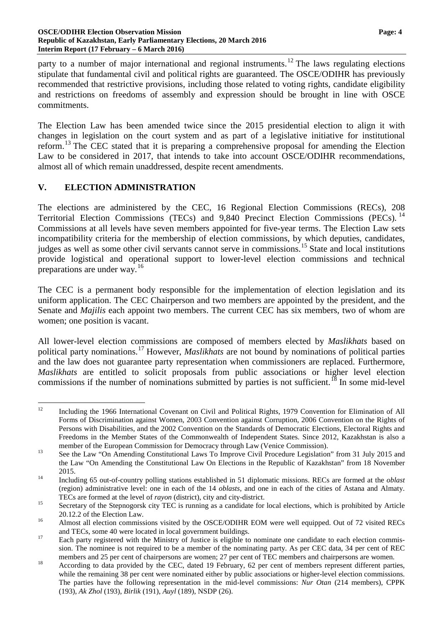#### **OSCE/ODIHR Election Observation Mission Page: 4 Republic of Kazakhstan, Early Parliamentary Elections, 20 March 2016 Interim Report (17 February – 6 March 2016)**

party to a number of major international and regional instruments.<sup>[12](#page-3-0)</sup> The laws regulating elections stipulate that fundamental civil and political rights are guaranteed. The OSCE/ODIHR has previously recommended that restrictive provisions, including those related to voting rights, candidate eligibility and restrictions on freedoms of assembly and expression should be brought in line with OSCE commitments.

The Election Law has been amended twice since the 2015 presidential election to align it with changes in legislation on the court system and as part of a legislative initiative for institutional reform.[13](#page-3-1) The CEC stated that it is preparing a comprehensive proposal for amending the Election Law to be considered in 2017, that intends to take into account OSCE/ODIHR recommendations, almost all of which remain unaddressed, despite recent amendments.

### **V. ELECTION ADMINISTRATION**

The elections are administered by the CEC, 16 Regional Election Commissions (RECs), 208 Territorial Election Commissions (TECs) and 9,840 Precinct Election Commissions (PECs).<sup>[14](#page-3-2)</sup> Commissions at all levels have seven members appointed for five-year terms. The Election Law sets incompatibility criteria for the membership of election commissions, by which deputies, candidates, judges as well as some other civil servants cannot serve in commissions.<sup>[15](#page-3-3)</sup> State and local institutions provide logistical and operational support to lower-level election commissions and technical preparations are under way. [16](#page-3-4)

The CEC is a permanent body responsible for the implementation of election legislation and its uniform application. The CEC Chairperson and two members are appointed by the president, and the Senate and *Majilis* each appoint two members. The current CEC has six members, two of whom are women; one position is vacant.

All lower-level election commissions are composed of members elected by *Maslikhats* based on political party nominations.[17](#page-3-5) However, *Maslikhats* are not bound by nominations of political parties and the law does not guarantee party representation when commissioners are replaced. Furthermore, *Maslikhats* are entitled to solicit proposals from public associations or higher level election commissions if the number of nominations submitted by parties is not sufficient.<sup>[18](#page-3-6)</sup> In some mid-level

<span id="page-3-0"></span><sup>&</sup>lt;sup>12</sup> Including the 1966 International Covenant on Civil and Political Rights, 1979 Convention for Elimination of All Forms of Discrimination against Women, 2003 Convention against Corruption, 2006 Convention on the Rights of Persons with Disabilities, and the 2002 Convention on the Standards of Democratic Elections, Electoral Rights and Freedoms in the Member States of the Commonwealth of Independent States. Since 2012, Kazakhstan is also a

<span id="page-3-1"></span>member of the European Commission for Democracy through Law (Venice Commission).<br><sup>13</sup> See the Law "On Amending Constitutional Laws To Improve Civil Procedure Legislation" from 31 July 2015 and the Law "On Amending the Constitutional Law On Elections in the Republic of Kazakhstan" from 18 November 2015. <sup>14</sup> Including <sup>65</sup> out-of-country polling stations established in <sup>51</sup> diplomatic missions. RECs are formed at the *oblast*

<span id="page-3-2"></span><sup>(</sup>region) administrative level: one in each of the 14 *oblasts*, and one in each of the cities of Astana and Almaty.

<span id="page-3-3"></span>TECs are formed at the level of *rayon* (district), city and city-district.<br><sup>15</sup> Secretary of the Stepnogorsk city TEC is running as a candidate for local elections, which is prohibited by Article

<span id="page-3-4"></span><sup>20.12.2</sup> of the Election Law.<br><sup>16</sup> Almost all election commissions visited by the OSCE/ODIHR EOM were well equipped. Out of 72 visited RECs

<span id="page-3-5"></span>and TECs, some 40 were located in local government buildings.<br><sup>17</sup> Each party registered with the Ministry of Justice is eligible to nominate one candidate to each election commission. The nominee is not required to be a member of the nominating party. As per CEC data, 34 per cent of REC

<span id="page-3-6"></span>members and 25 per cent of chairpersons are women; 27 per cent of TEC members and chairpersons are women.<br>According to data provided by the CEC, dated 19 February, 62 per cent of members represent different parties, while the remaining 38 per cent were nominated either by public associations or higher-level election commissions. The parties have the following representation in the mid-level commissions: *Nur Otan* (214 members), CPPK (193), *Ak Zhol* (193), *Birlik* (191), *Auyl* (189), NSDP (26).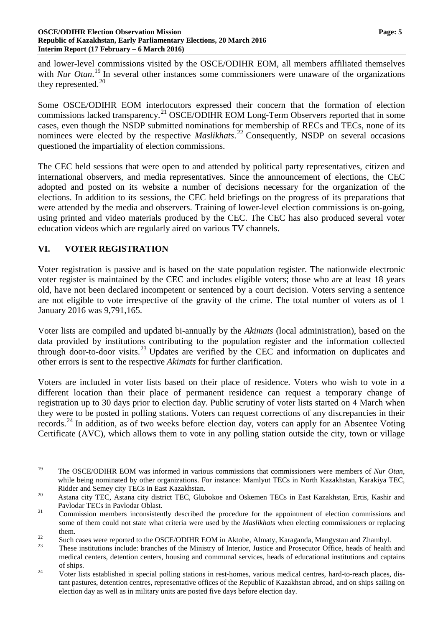and lower-level commissions visited by the OSCE/ODIHR EOM, all members affiliated themselves with *Nur Otan*.<sup>[19](#page-4-0)</sup> In several other instances some commissioners were unaware of the organizations they represented. $^{20}$  $^{20}$  $^{20}$ 

Some OSCE/ODIHR EOM interlocutors expressed their concern that the formation of election commissions lacked transparency.[21](#page-4-2) OSCE/ODIHR EOM Long-Term Observers reported that in some cases, even though the NSDP submitted nominations for membership of RECs and TECs, none of its nominees were elected by the respective *Maslikhats*. [22](#page-4-3) Consequently, NSDP on several occasions questioned the impartiality of election commissions.

The CEC held sessions that were open to and attended by political party representatives, citizen and international observers, and media representatives. Since the announcement of elections, the CEC adopted and posted on its website a number of decisions necessary for the organization of the elections. In addition to its sessions, the CEC held briefings on the progress of its preparations that were attended by the media and observers. Training of lower-level election commissions is on-going, using printed and video materials produced by the CEC. The CEC has also produced several voter education videos which are regularly aired on various TV channels.

### **VI. VOTER REGISTRATION**

Voter registration is passive and is based on the state population register. The nationwide electronic voter register is maintained by the CEC and includes eligible voters; those who are at least 18 years old, have not been declared incompetent or sentenced by a court decision. Voters serving a sentence are not eligible to vote irrespective of the gravity of the crime. The total number of voters as of 1 January 2016 was 9,791,165.

Voter lists are compiled and updated bi-annually by the *Akimats* (local administration), based on the data provided by institutions contributing to the population register and the information collected through door-to-door visits.<sup>[23](#page-4-4)</sup> Updates are verified by the CEC and information on duplicates and other errors is sent to the respective *Akimats* for further clarification.

Voters are included in voter lists based on their place of residence. Voters who wish to vote in a different location than their place of permanent residence can request a temporary change of registration up to 30 days prior to election day. Public scrutiny of voter lists started on 4 March when they were to be posted in polling stations. Voters can request corrections of any discrepancies in their records.<sup>[24](#page-4-5)</sup> In addition, as of two weeks before election day, voters can apply for an Absentee Voting Certificate (AVC), which allows them to vote in any polling station outside the city, town or village

<span id="page-4-0"></span> <sup>19</sup> The OSCE/ODIHR EOM was informed in various commissions that commissioners were members of *Nur Otan*, while being nominated by other organizations. For instance: Mamlyut TECs in North Kazakhstan, Karakiya TEC,

<span id="page-4-1"></span>Ridder and Semey city TECs in East Kazakhstan.<br>
<sup>20</sup> Astana city TEC, Astana city district TEC, Glubokoe and Oskemen TECs in East Kazakhstan, Ertis, Kashir and

<span id="page-4-2"></span>Pavlodar TECs in Pavlodar Oblast.<br><sup>21</sup> Commission members inconsistently described the procedure for the appointment of election commissions and some of them could not state what criteria were used by the *Maslikhats* when electing commissioners or replacing

<span id="page-4-4"></span><span id="page-4-3"></span>

them.<br>
Such cases were reported to the OSCE/ODIHR EOM in Aktobe, Almaty, Karaganda, Mangystau and Zhambyl.<br>
These institutions include: branches of the Ministry of Interior, Justice and Prosecutor Office, heads of health a medical centers, detention centers, housing and communal services, heads of educational institutions and captains

<span id="page-4-5"></span>of ships.<br><sup>24</sup> Voter lists established in special polling stations in rest-homes, various medical centres, hard-to-reach places, distant pastures, detention centres, representative offices of the Republic of Kazakhstan abroad, and on ships sailing on election day as well as in military units are posted five days before election day.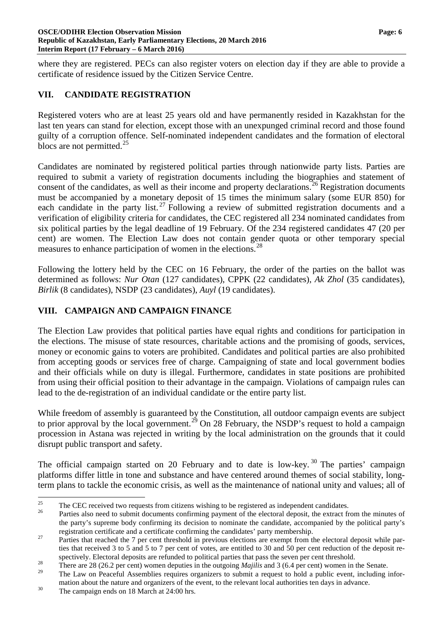where they are registered. PECs can also register voters on election day if they are able to provide a certificate of residence issued by the Citizen Service Centre.

### **VII. CANDIDATE REGISTRATION**

Registered voters who are at least 25 years old and have permanently resided in Kazakhstan for the last ten years can stand for election, except those with an unexpunged criminal record and those found guilty of a corruption offence. Self-nominated independent candidates and the formation of electoral blocs are not permitted.<sup>[25](#page-5-0)</sup>

Candidates are nominated by registered political parties through nationwide party lists. Parties are required to submit a variety of registration documents including the biographies and statement of consent of the candidates, as well as their income and property declarations.<sup>[26](#page-5-1)</sup> Registration documents must be accompanied by a monetary deposit of 15 times the minimum salary (some EUR 850) for each candidate in the party list.<sup>[27](#page-5-2)</sup> Following a review of submitted registration documents and a verification of eligibility criteria for candidates, the CEC registered all 234 nominated candidates from six political parties by the legal deadline of 19 February. Of the 234 registered candidates 47 (20 per cent) are women. The Election Law does not contain gender quota or other temporary special measures to enhance participation of women in the elections.<sup>[28](#page-5-3)</sup>

Following the lottery held by the CEC on 16 February, the order of the parties on the ballot was determined as follows: *Nur Otan* (127 candidates), CPPK (22 candidates), *Ak Zhol* (35 candidates), *Birlik* (8 candidates), NSDP (23 candidates), *Auyl* (19 candidates).

## **VIII. CAMPAIGN AND CAMPAIGN FINANCE**

The Election Law provides that political parties have equal rights and conditions for participation in the elections. The misuse of state resources, charitable actions and the promising of goods, services, money or economic gains to voters are prohibited. Candidates and political parties are also prohibited from accepting goods or services free of charge. Campaigning of state and local government bodies and their officials while on duty is illegal. Furthermore, candidates in state positions are prohibited from using their official position to their advantage in the campaign. Violations of campaign rules can lead to the de-registration of an individual candidate or the entire party list.

While freedom of assembly is guaranteed by the Constitution, all outdoor campaign events are subject to prior approval by the local government.<sup>[29](#page-5-4)</sup> On 28 February, the NSDP's request to hold a campaign procession in Astana was rejected in writing by the local administration on the grounds that it could disrupt public transport and safety.

The official campaign started on 20 February and to date is low-key.<sup>[30](#page-5-5)</sup> The parties' campaign platforms differ little in tone and substance and have centered around themes of social stability, longterm plans to tackle the economic crisis, as well as the maintenance of national unity and values; all of

<span id="page-5-1"></span><span id="page-5-0"></span><sup>&</sup>lt;sup>25</sup> The CEC received two requests from citizens wishing to be registered as independent candidates.<br><sup>26</sup> Parties also need to submit documents confirming payment of the electoral deposit, the extract from the minutes of the party's supreme body confirming its decision to nominate the candidate, accompanied by the political party's

<span id="page-5-2"></span>registration certificate and a certificate confirming the candidates' party membership.<br><sup>27</sup> Parties that reached the 7 per cent threshold in previous elections are exempt from the electoral deposit while parties that received 3 to 5 and 5 to 7 per cent of votes, are entitled to 30 and 50 per cent reduction of the deposit re-

<span id="page-5-3"></span>spectively. Electoral deposits are refunded to political parties that pass the seven per cent threshold.<br><sup>28</sup> There are 28 (26.2 per cent) women deputies in the outgoing *Majilis* and 3 (6.4 per cent) women in the Senate.

<span id="page-5-4"></span>The Law on Peaceful Assemblies requires organizers to submit a request to hold a public event, including information about the nature and organizers of the event, to the relevant local authorities ten days in advance.<br><sup>30</sup> The campaign ends on 18 March at 24:00 hrs.

<span id="page-5-5"></span>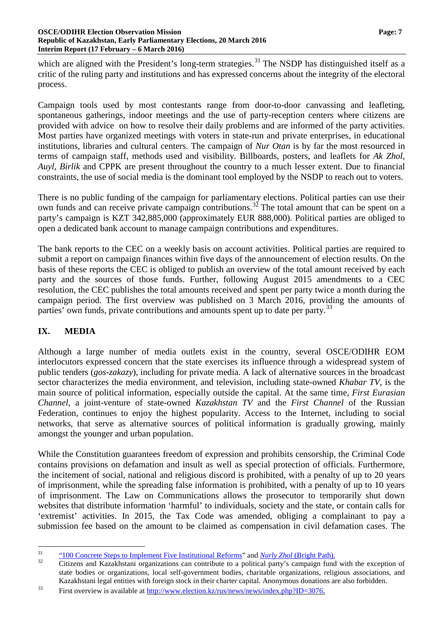which are aligned with the President's long-term strategies.<sup>[31](#page-6-0)</sup> The NSDP has distinguished itself as a critic of the ruling party and institutions and has expressed concerns about the integrity of the electoral process.

Campaign tools used by most contestants range from door-to-door canvassing and leafleting, spontaneous gatherings, indoor meetings and the use of party-reception centers where citizens are provided with advice on how to resolve their daily problems and are informed of the party activities. Most parties have organized meetings with voters in state-run and private enterprises, in educational institutions, libraries and cultural centers. The campaign of *Nur Otan* is by far the most resourced in terms of campaign staff, methods used and visibility. Billboards, posters, and leaflets for *Ak Zhol*, *Auyl, Birlik* and CPPK are present throughout the country to a much lesser extent. Due to financial constraints, the use of social media is the dominant tool employed by the NSDP to reach out to voters.

There is no public funding of the campaign for parliamentary elections. Political parties can use their own funds and can receive private campaign contributions.<sup>[32](#page-6-1)</sup> The total amount that can be spent on a party's campaign is KZT 342,885,000 (approximately EUR 888,000). Political parties are obliged to open a dedicated bank account to manage campaign contributions and expenditures.

The bank reports to the CEC on a weekly basis on account activities. Political parties are required to submit a report on campaign finances within five days of the announcement of election results. On the basis of these reports the CEC is obliged to publish an overview of the total amount received by each party and the sources of those funds. Further, following August 2015 amendments to a CEC resolution, the CEC publishes the total amounts received and spent per party twice a month during the campaign period. The first overview was published on 3 March 2016, providing the amounts of parties' own funds, private contributions and amounts spent up to date per party.<sup>[33](#page-6-2)</sup>

## **IX. MEDIA**

Although a large number of media outlets exist in the country, several OSCE/ODIHR EOM interlocutors expressed concern that the state exercises its influence through a widespread system of public tenders (*gos-zakazy*), including for private media. A lack of alternative sources in the broadcast sector characterizes the media environment, and television, including state-owned *Khabar TV*, is the main source of political information, especially outside the capital. At the same time, *First Eurasian Channel,* a joint-venture of state-owned *Kazakhstan TV* and the *First Channel* of the Russian Federation*,* continues to enjoy the highest popularity. Access to the Internet, including to social networks, that serve as alternative sources of political information is gradually growing, mainly amongst the younger and urban population.

While the Constitution guarantees freedom of expression and prohibits censorship, the Criminal Code contains provisions on defamation and insult as well as special protection of officials. Furthermore, the incitement of social, national and religious discord is prohibited, with a penalty of up to 20 years of imprisonment, while the spreading false information is prohibited, with a penalty of up to 10 years of imprisonment. The Law on Communications allows the prosecutor to temporarily shut down websites that distribute information 'harmful' to individuals, society and the state, or contain calls for 'extremist' activities. In 2015, the Tax Code was amended, obliging a complainant to pay a submission fee based on the amount to be claimed as compensation in civil defamation cases. The

<span id="page-6-1"></span>

<span id="page-6-0"></span><sup>&</sup>lt;sup>31</sup> ["100 Concrete Steps to Implement Five Institutional Reforms"](http://www.akorda.kz/ru/addresses/poslanie-prezidenta-respubliki-kazahstan-nnazarbaeva-narodu-kazahstana-11-noyabrya-2014-g) and *Nurly Zhol* [\(Bright Path\).](http://www.akorda.kz/en/addresses/page_218343_)<br>Citizens and Kazakhstani organizations can contribute to a political party's campaign fund with the exception of state bodies or organizations, local self-government bodies, charitable organizations, religious associations, and Kazakhstani legal entities with foreign stock in their charter capital. Anonymous donations are also forbidden.

<span id="page-6-2"></span> $33$  First overview is available at [http://www.election.kz/rus/news/news/index.php?ID=3076.](http://www.election.kz/rus/news/news/index.php?ID=3076)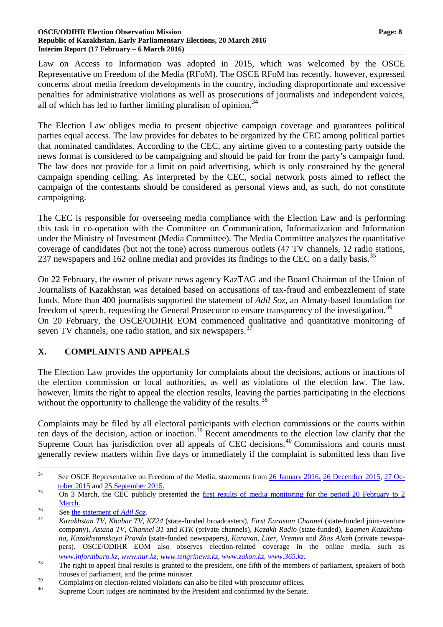#### **OSCE/ODIHR Election Observation Mission Page: 8 Republic of Kazakhstan, Early Parliamentary Elections, 20 March 2016 Interim Report (17 February – 6 March 2016)**

Law on Access to Information was adopted in 2015, which was welcomed by the OSCE Representative on Freedom of the Media (RFoM). The OSCE RFoM has recently, however, expressed concerns about media freedom developments in the country, including disproportionate and excessive penalties for administrative violations as well as prosecutions of journalists and independent voices, all of which has led to further limiting pluralism of opinion.<sup>[34](#page-7-0)</sup>

The Election Law obliges media to present objective campaign coverage and guarantees political parties equal access. The law provides for debates to be organized by the CEC among political parties that nominated candidates. According to the CEC, any airtime given to a contesting party outside the news format is considered to be campaigning and should be paid for from the party's campaign fund. The law does not provide for a limit on paid advertising, which is only constrained by the general campaign spending ceiling. As interpreted by the CEC, social network posts aimed to reflect the campaign of the contestants should be considered as personal views and, as such, do not constitute campaigning.

The CEC is responsible for overseeing media compliance with the Election Law and is performing this task in co-operation with the Committee on Communication, Informatization and Information under the Ministry of Investment (Media Committee). The Media Committee analyzes the quantitative coverage of candidates (but not the tone) across numerous outlets (47 TV channels, 12 radio stations, 237 newspapers and 162 online media) and provides its findings to the CEC on a daily basis.<sup>[35](#page-7-1)</sup>

On 22 February, the owner of private news agency KazTAG and the Board Chairman of the Union of Journalists of Kazakhstan was detained based on accusations of tax-fraud and embezzlement of state funds. More than 400 journalists supported the statement of *Adil Soz*, an Almaty-based foundation for freedom of speech, requesting the General Prosecutor to ensure transparency of the investigation.<sup>[36](#page-7-2)</sup> On 20 February, the OSCE/ODIHR EOM commenced qualitative and quantitative monitoring of seven TV channels, one radio station, and six newspapers.<sup>3</sup>

## **X. COMPLAINTS AND APPEALS**

The Election Law provides the opportunity for complaints about the decisions, actions or inactions of the election commission or local authorities, as well as violations of the election law. The law, however, limits the right to appeal the election results, leaving the parties participating in the elections without the opportunity to challenge the validity of the results.<sup>[38](#page-7-4)</sup>

Complaints may be filed by all electoral participants with election commissions or the courts within ten days of the decision, action or inaction.<sup>[39](#page-7-5)</sup> Recent amendments to the election law clarify that the Supreme Court has jurisdiction over all appeals of CEC decisions.<sup>[40](#page-7-6)</sup> Commissions and courts must generally review matters within five days or immediately if the complaint is submitted less than five

<span id="page-7-0"></span><sup>&</sup>lt;sup>34</sup> See OSCE Representative on Freedom of the Media, statements from <u>[26 January 2016,](http://www.osce.org/fom/218471) [26 December 2015,](http://www.osce.org/fom/212731) 27 October 2015</u> and 25 September 2015.

<span id="page-7-1"></span> $\overline{O}$  On 3 March, the CEC publicly presented the <u>first results of media monitoring for the period 20 February to 2</u> [March](http://www.election.kz/rus/news/releases/index.php?ID=3070).

<span id="page-7-3"></span><span id="page-7-2"></span><sup>36</sup> See [the statement of](http://www.adilsoz.kz/news/show/id/1944) *Adil Soz*. <sup>37</sup> *Kazakhstan TV, Khabar TV, KZ24* (state-funded broadcasters)*, First Eurasian Channel* (state-funded joint-venture company)*, Astana TV, Channel 31* and *KTK* (private channels)*, Kazakh Radio* (state-funded), *Egemen Kazakhstana, Kazakhstanskaya Pravda* (state-funded newspapers), *Karavan, Liter, Vremya* and *Zhas Alash* (private newspapers). OSCE/ODIHR EOM also observes election-related coverage in the online media, such as

<span id="page-7-4"></span>[www.informburo.kz,](http://www.informburo.kz/) [www.nur.kz,](http://www.nur.kz/) [www.tengrinews.kz,](http://www.tengrinews.kz/) [www.zakon.kz,](http://www.zakon.kz/) [www.365.kz.](http://www.365.kz/)<br>The right to appeal final results is granted to the president, one fifth of the members of parliament, speakers of both houses of parliament, and the prime minister.

<span id="page-7-5"></span> $39 \t\t Complaints$  on election-related violations can also be filed with prosecutor offices.<br>40 Supreme Court judges are nominated by the President and confirmed by the Senate.

<span id="page-7-6"></span>